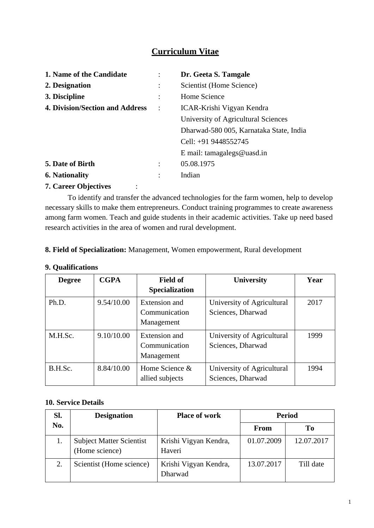# **Curriculum Vitae**

| 1. Name of the Candidate               |                      | Dr. Geeta S. Tamgale                    |
|----------------------------------------|----------------------|-----------------------------------------|
| 2. Designation                         |                      | Scientist (Home Science)                |
| 3. Discipline                          |                      | Home Science                            |
| <b>4. Division/Section and Address</b> |                      | ICAR-Krishi Vigyan Kendra               |
|                                        |                      | University of Agricultural Sciences     |
|                                        |                      | Dharwad-580 005, Karnataka State, India |
|                                        |                      | Cell: +91 9448552745                    |
|                                        |                      | E mail: tamagalegs@uasd.in              |
| 5. Date of Birth                       |                      | 05.08.1975                              |
| <b>6. Nationality</b>                  | $\ddot{\phantom{0}}$ | Indian                                  |
| <b>7. Career Objectives</b>            |                      |                                         |

To identify and transfer the advanced technologies for the farm women, help to develop necessary skills to make them entrepreneurs. Conduct training programmes to create awareness among farm women. Teach and guide students in their academic activities. Take up need based research activities in the area of women and rural development.

#### **8. Field of Specialization:** Management, Women empowerment, Rural development

| <b>Degree</b> | <b>CGPA</b> | <b>Field of</b>                              | <b>University</b>                               | Year |
|---------------|-------------|----------------------------------------------|-------------------------------------------------|------|
|               |             | <b>Specialization</b>                        |                                                 |      |
| Ph.D.         | 9.54/10.00  | Extension and<br>Communication<br>Management | University of Agricultural<br>Sciences, Dharwad | 2017 |
| M.H.Sc.       | 9.10/10.00  | Extension and<br>Communication<br>Management | University of Agricultural<br>Sciences, Dharwad | 1999 |
| B.H.Sc.       | 8.84/10.00  | Home Science $\&$<br>allied subjects         | University of Agricultural<br>Sciences, Dharwad | 1994 |

#### **9. Qualifications**

### **10. Service Details**

| Sl. | <b>Designation</b>                                | <b>Place of work</b>             | <b>Period</b> |            |
|-----|---------------------------------------------------|----------------------------------|---------------|------------|
| No. |                                                   |                                  | <b>From</b>   | To         |
|     | <b>Subject Matter Scientist</b><br>(Home science) | Krishi Vigyan Kendra,<br>Haveri  | 01.07.2009    | 12.07.2017 |
| 2.  | Scientist (Home science)                          | Krishi Vigyan Kendra,<br>Dharwad | 13.07.2017    | Till date  |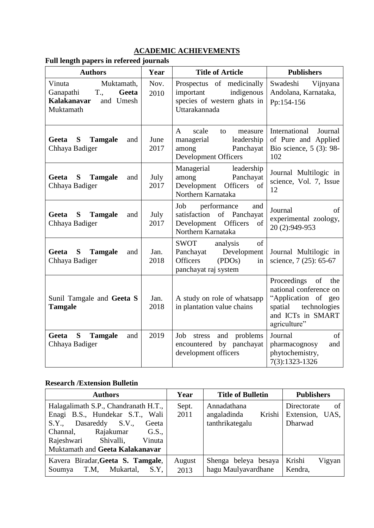## **ACADEMIC ACHIEVEMENTS**

| <b>Authors</b>                                                                                 | Year         | <b>Title of Article</b>                                                                                            | <b>Publishers</b>                                                                                                                |
|------------------------------------------------------------------------------------------------|--------------|--------------------------------------------------------------------------------------------------------------------|----------------------------------------------------------------------------------------------------------------------------------|
| Muktamath,<br>Vinuta<br>Ganapathi T.,<br>Geeta<br><b>Kalakanavar</b><br>and Umesh<br>Muktamath | Nov.<br>2010 | Prospectus of medicinally<br>important indigenous<br>species of western ghats in<br>Uttarakannada                  | Swadeshi Vijnyana<br>Andolana, Karnataka,<br>Pp:154-156                                                                          |
| Geeta S Tamgale<br>and<br>Chhaya Badiger                                                       | June<br>2017 | scale<br>$\mathbf{A}$<br>to<br>measure<br>managerial<br>leadership<br>among<br>Panchayat<br>Development Officers   | International<br>Journal<br>of Pure and Applied<br>Bio science, 5 (3): 98-<br>102                                                |
| <b>Tamgale</b><br>Geeta S<br>and<br>Chhaya Badiger                                             | July<br>2017 | Managerial leadership<br>among<br>Panchayat<br>Development Officers of<br>Northern Karnataka                       | Journal Multilogic in<br>science, Vol. 7, Issue<br>12                                                                            |
| Geeta S Tamgale<br>and<br>Chhaya Badiger                                                       | July<br>2017 | Job performance<br>and<br>satisfaction of Panchayat<br><sub>of</sub><br>Development Officers<br>Northern Karnataka | Journal<br>of<br>experimental zoology,<br>20 (2):949-953                                                                         |
| Geeta<br>S Tamgale<br>and<br>Chhaya Badiger                                                    | Jan.<br>2018 | SWOT analysis<br>of<br>Panchayat Development<br>Officers<br>$($ PDOs $)$<br>in<br>panchayat raj system             | Journal Multilogic in<br>science, 7 (25): 65-67                                                                                  |
| Sunil Tamgale and Geeta S<br><b>Tamgale</b>                                                    | Jan.<br>2018 | A study on role of whatsapp<br>in plantation value chains                                                          | Proceedings of the<br>national conference on<br>"Application of geo<br>spatial technologies<br>and ICTs in SMART<br>agriculture" |
| S Tamgale<br>Geeta<br>and<br>Chhaya Badiger                                                    | 2019         | Job stress and problems<br>encountered by panchayat<br>development officers                                        | Journal<br>of<br>pharmacognosy<br>and<br>phytochemistry,<br>7(3):1323-1326                                                       |

## **Full length papers in refereed journals**

## **Research /Extension Bulletin**

| <b>Authors</b>                                                                                                                                                                                                | Year           | <b>Title of Bulletin</b>                                | <b>Publishers</b>                               |
|---------------------------------------------------------------------------------------------------------------------------------------------------------------------------------------------------------------|----------------|---------------------------------------------------------|-------------------------------------------------|
| Halagalimath S.P., Chandranath H.T.,<br>Enagi B.S., Hundekar S.T., Wali<br>S.Y., Dasareddy S.V.,<br>Geeta<br>Rajakumar G.S.,<br>Channal,<br>Rajeshwari Shivalli,<br>Vinuta<br>Muktamath and Geeta Kalakanavar | Sept.<br>2011  | Annadathana<br>angaladinda<br>Krishi<br>tanthrikategalu | Directorate<br>of<br>Extension, UAS,<br>Dharwad |
| Kavera Biradar, Geeta S. Tamgale,<br>Mukartal,<br>Soumya T.M.<br>S.Y.                                                                                                                                         | August<br>2013 | Shenga beleya besaya<br>hagu Maulyavardhane             | Krishi<br>Vigyan<br>Kendra,                     |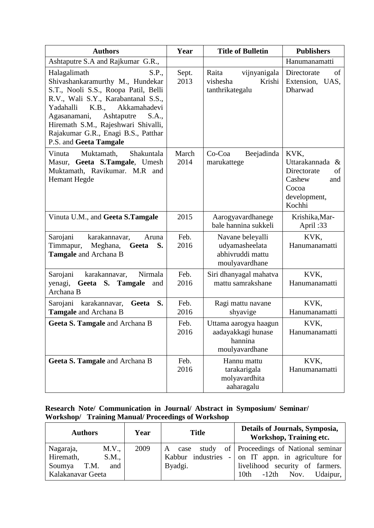| <b>Authors</b>                                                                                                                                                                                                                                                                                                                | Year          | <b>Title of Bulletin</b>                                                 | <b>Publishers</b>                                                                                |
|-------------------------------------------------------------------------------------------------------------------------------------------------------------------------------------------------------------------------------------------------------------------------------------------------------------------------------|---------------|--------------------------------------------------------------------------|--------------------------------------------------------------------------------------------------|
| Ashtaputre S.A and Rajkumar G.R.,                                                                                                                                                                                                                                                                                             |               |                                                                          | Hanumanamatti                                                                                    |
| Halagalimath<br>S.P.,<br>Shivashankaramurthy M., Hundekar<br>S.T., Nooli S.S., Roopa Patil, Belli<br>R.V., Wali S.Y., Karabantanal S.S.,<br>K.B.,<br>Akkamahadevi<br>Yadahalli<br>Agasanamani,<br>Ashtaputre<br>S.A.,<br>Hiremath S.M., Rajeshwari Shivalli,<br>Rajakumar G.R., Enagi B.S., Patthar<br>P.S. and Geeta Tamgale | Sept.<br>2013 | vijnyanigala<br>Raita<br>vishesha<br>Krishi<br>tanthrikategalu           | Directorate<br>of<br>Extension, UAS,<br>Dharwad                                                  |
| Muktamath,<br>Shakuntala<br>Vinuta<br>Masur, Geeta S.Tamgale, Umesh<br>Muktamath, Ravikumar. M.R and<br><b>Hemant Hegde</b>                                                                                                                                                                                                   | March<br>2014 | Co-Coa<br>Beejadinda<br>marukattege                                      | KVK,<br>Uttarakannada &<br>Directorate<br>of<br>Cashew<br>and<br>Cocoa<br>development,<br>Kochhi |
| Vinuta U.M., and Geeta S.Tamgale                                                                                                                                                                                                                                                                                              | 2015          | Aarogyavardhanege<br>bale hannina sukkeli                                | Krishika, Mar-<br>April:33                                                                       |
| Sarojani<br>karakannavar,<br>Aruna<br>Timmapur, Meghana, Geeta<br>S.<br>Tamgale and Archana B                                                                                                                                                                                                                                 | Feb.<br>2016  | Navane beleyalli<br>udyamasheelata<br>abhivruddi mattu<br>moulyavardhane | KVK,<br>Hanumanamatti                                                                            |
| Sarojani<br>karakannavar,<br>Nirmala<br>yenagi,<br>Geeta S. Tamgale<br>and<br>Archana B                                                                                                                                                                                                                                       | Feb.<br>2016  | Siri dhanyagal mahatva<br>mattu samrakshane                              | KVK,<br>Hanumanamatti                                                                            |
| Sarojani karakannavar,<br>Geeta S.<br>Tamgale and Archana B                                                                                                                                                                                                                                                                   | Feb.<br>2016  | Ragi mattu navane<br>shyavige                                            | KVK,<br>Hanumanamatti                                                                            |
| Geeta S. Tamgale and Archana B                                                                                                                                                                                                                                                                                                | Feb.<br>2016  | Uttama aarogya haagun<br>aadayakkagi hunase<br>hannina<br>moulyavardhane | KVK.<br>Hanumanamatti                                                                            |
| Geeta S. Tamgale and Archana B                                                                                                                                                                                                                                                                                                | Feb.<br>2016  | Hannu mattu<br>tarakarigala<br>molyavardhita<br>aaharagalu               | KVK,<br>Hanumanamatti                                                                            |

## **Research Note/ Communication in Journal/ Abstract in Symposium/ Seminar/ Workshop/ Training Manual/ Proceedings of Workshop**

| <b>Authors</b>                                                                         | Year | <b>Title</b>      | Details of Journals, Symposia,<br>Workshop, Training etc.                                                                                                               |
|----------------------------------------------------------------------------------------|------|-------------------|-------------------------------------------------------------------------------------------------------------------------------------------------------------------------|
| M.V.,<br>Nagaraja,<br>Hiremath,<br>S.M.,<br>and<br>T.M.<br>Soumya<br>Kalakanavar Geeta | 2009 | A case<br>Byadgi. | study of Proceedings of National seminar<br>Kabbur industries $-$ on IT appn. in agriculture for<br>livelihood security of farmers.<br>$-12th$ Nov.<br>Udaipur,<br>10th |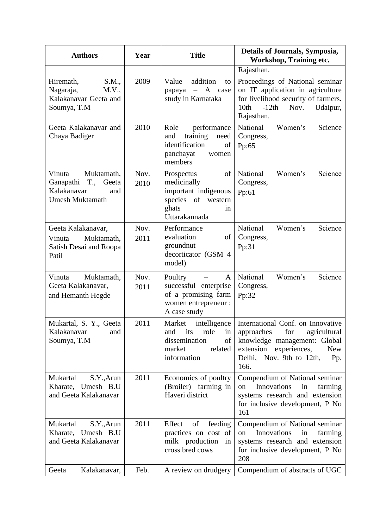| <b>Authors</b>                                                                                                   | Year         | <b>Title</b>                                                                                                     | Details of Journals, Symposia,<br>Workshop, Training etc.                                                                                                                          |  |  |
|------------------------------------------------------------------------------------------------------------------|--------------|------------------------------------------------------------------------------------------------------------------|------------------------------------------------------------------------------------------------------------------------------------------------------------------------------------|--|--|
|                                                                                                                  |              |                                                                                                                  | Rajasthan.                                                                                                                                                                         |  |  |
| S.M.,<br>Hiremath,<br>Nagaraja,<br>M.V.,<br>Kalakanavar Geeta and<br>Soumya, T.M                                 | 2009         | addition<br>Value<br>to<br>$- A$<br>papaya<br>case<br>study in Karnataka                                         | Proceedings of National seminar<br>on IT application in agriculture<br>for livelihood security of farmers.<br>10th<br>$-12th$<br>Udaipur,<br>Nov.<br>Rajasthan.                    |  |  |
| Geeta Kalakanavar and<br>Chaya Badiger                                                                           | 2010         | Role<br>performance<br>training<br>and<br>need<br>identification<br>of<br>panchayat<br>women<br>members          | National<br>Women's<br>Science<br>Congress,<br>Pp:65                                                                                                                               |  |  |
| Muktamath,<br>Vinuta<br>$T_{\cdot, \cdot}$<br>Geeta<br>Ganapathi<br>Kalakanavar<br>and<br><b>Umesh Muktamath</b> | Nov.<br>2010 | of<br>Prospectus<br>medicinally<br>important indigenous<br>species of<br>western<br>ghats<br>in<br>Uttarakannada | National<br>Women's<br>Science<br>Congress,<br>Pp:61                                                                                                                               |  |  |
| Geeta Kalakanavar,<br>Vinuta<br>Muktamath,<br>Satish Desai and Roopa<br>Patil                                    | Nov.<br>2011 | Performance<br>evaluation<br>of<br>groundnut<br>decorticator (GSM 4<br>model)                                    | National<br>Women's<br>Science<br>Congress,<br>Pp:31                                                                                                                               |  |  |
| Muktamath,<br>Vinuta<br>Geeta Kalakanavar,<br>and Hemanth Hegde                                                  | Nov.<br>2011 | Poultry<br>A<br>successful enterprise<br>of a promising farm<br>women entrepreneur :<br>A case study             | National<br>Women's<br>Science<br>Congress,<br>Pp:32                                                                                                                               |  |  |
| Mukartal, S. Y., Geeta<br>Kalakanavar<br>and<br>Soumya, T.M                                                      | 2011         | Market<br>intelligence<br>role<br>its<br>and<br>in<br>dissemination<br>of<br>market<br>related<br>information    | International Conf. on Innovative<br>for<br>agricultural<br>approaches<br>knowledge management: Global<br>extension experiences,<br>New<br>Delhi, Nov. 9th to 12th,<br>Pp.<br>166. |  |  |
| Mukartal<br>S.Y., Arun<br>Kharate, Umesh B.U<br>and Geeta Kalakanavar                                            | 2011         | Economics of poultry<br>(Broiler) farming in<br>Haveri district                                                  | Compendium of National seminar<br>Innovations<br>farming<br>in<br>on<br>systems research and extension<br>for inclusive development, P No<br>161                                   |  |  |
| Mukartal<br>S.Y., Arun<br>Kharate, Umesh B.U<br>and Geeta Kalakanavar                                            | 2011         | of<br>feeding<br>Effect<br>practices on cost of<br>milk production<br>in<br>cross bred cows                      | Compendium of National seminar<br>Innovations<br>in<br>farming<br>on<br>systems research and extension<br>for inclusive development, P No<br>208                                   |  |  |
| Kalakanavar,<br>Geeta                                                                                            | Feb.         | A review on drudgery                                                                                             | Compendium of abstracts of UGC                                                                                                                                                     |  |  |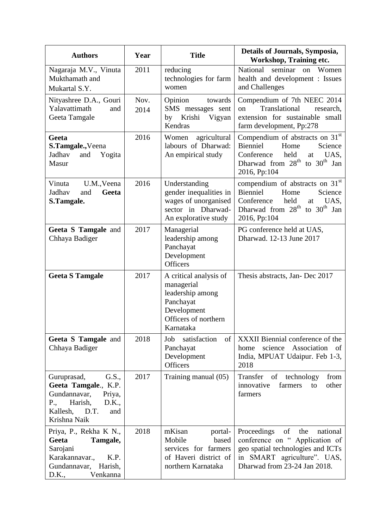| <b>Authors</b>                                                                                                                               | Year         | <b>Title</b>                                                                                                              | Details of Journals, Symposia,<br>Workshop, Training etc.                                                                                                                     |
|----------------------------------------------------------------------------------------------------------------------------------------------|--------------|---------------------------------------------------------------------------------------------------------------------------|-------------------------------------------------------------------------------------------------------------------------------------------------------------------------------|
| Nagaraja M.V., Vinuta<br>Mukthamath and<br>Mukartal S.Y.                                                                                     | 2011         | reducing<br>technologies for farm<br>women                                                                                | seminar<br>National<br>Women<br>on<br>health and development : Issues<br>and Challenges                                                                                       |
| Nityashree D.A., Gouri<br>Yalavattimath<br>and<br>Geeta Tamgale                                                                              | Nov.<br>2014 | Opinion<br>towards<br>SMS messages sent<br>by Krishi Vigyan<br>Kendras                                                    | Compendium of 7th NEEC 2014<br>Translational<br>research,<br>on<br>extension for sustainable small<br>farm development, Pp:278                                                |
| Geeta<br>S.Tamgale., Veena<br>Jadhav<br>Yogita<br>and<br>Masur                                                                               | 2016         | Women<br>agricultural<br>labours of Dharwad:<br>An empirical study                                                        | Compendium of abstracts on 31st<br>Bienniel<br>Home<br>Science<br>Conference<br>held<br>at<br>UAS,<br>Dharwad from 28 <sup>th</sup> to 30 <sup>th</sup> Jan<br>2016, Pp:104   |
| Vinuta<br>U.M., Veena<br>Jadhav<br>and<br>Geeta<br>S.Tamgale.                                                                                | 2016         | Understanding<br>gender inequalities in<br>wages of unorganised<br>sector in Dharwad-<br>An explorative study             | compendium of abstracts on 31 <sup>st</sup><br>Bienniel<br>Home<br>Science<br>Conference<br>held<br>UAS.<br>at<br>Dharwad from $28th$ to $30th$ Jan<br>2016, Pp:104           |
| Geeta S Tamgale and<br>Chhaya Badiger                                                                                                        | 2017         | Managerial<br>leadership among<br>Panchayat<br>Development<br><b>Officers</b>                                             | PG conference held at UAS,<br>Dharwad. 12-13 June 2017                                                                                                                        |
| <b>Geeta S Tamgale</b>                                                                                                                       | 2017         | A critical analysis of<br>managerial<br>leadership among<br>Panchayat<br>Development<br>Officers of northern<br>Karnataka | Thesis abstracts, Jan-Dec 2017                                                                                                                                                |
| Geeta S Tamgale and<br>Chhaya Badiger                                                                                                        | 2018         | satisfaction<br>of<br>Job<br>Panchayat<br>Development<br>Officers                                                         | XXXII Biennial conference of the<br>science<br>Association<br>home<br>of<br>India, MPUAT Udaipur. Feb 1-3,<br>2018                                                            |
| Guruprasad,<br>G.S.,<br>Geeta Tamgale., K.P.<br>Gundannavar,<br>Priya,<br>Harish,<br>P.,<br>D.K.,<br>D.T.<br>Kallesh,<br>and<br>Krishna Naik | 2017         | Training manual (05)                                                                                                      | Transfer of technology<br>from<br>innovative<br>other<br>farmers<br>to<br>farmers                                                                                             |
| Priya, P., Rekha K N.,<br>Geeta<br>Tamgale,<br>Sarojani<br>Karakannavar.,<br>K.P.<br>Gundannavar, Harish,<br>Venkanna<br>D.K.,               | 2018         | mKisan<br>portal-<br>Mobile<br>based<br>services for farmers<br>of Haveri district of<br>northern Karnataka               | Proceedings<br>of<br>the<br>national<br>conference on " Application of<br>geo spatial technologies and ICTs<br>SMART agriculture". UAS,<br>in<br>Dharwad from 23-24 Jan 2018. |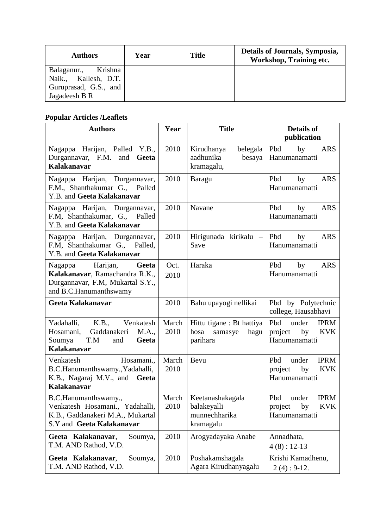| <b>Authors</b>                                                                              | Year | <b>Title</b> | Details of Journals, Symposia,<br>Workshop, Training etc. |
|---------------------------------------------------------------------------------------------|------|--------------|-----------------------------------------------------------|
| Krishna<br>Balaganur.,<br>Kallesh, D.T.<br>Naik.,<br>Guruprasad, G.S., and<br>Jagadeesh B R |      |              |                                                           |

# **Popular Articles /Leaflets**

| <b>Authors</b>                                                                                                               | Year          | <b>Title</b>                                                     | <b>Details of</b><br>publication                                            |
|------------------------------------------------------------------------------------------------------------------------------|---------------|------------------------------------------------------------------|-----------------------------------------------------------------------------|
| Nagappa Harijan, Palled Y.B.,<br>Durgannavar, F.M. and<br>Geeta<br><b>Kalakanavar</b>                                        | 2010          | Kirudhanya<br>belegala<br>aadhunika<br>besaya<br>kramagalu,      | Pbd<br>by<br><b>ARS</b><br>Hanumanamatti                                    |
| Nagappa Harijan, Durgannavar,<br>F.M., Shanthakumar G., Palled<br>Y.B. and Geeta Kalakanavar                                 | 2010          | Baragu                                                           | Pbd<br><b>ARS</b><br>by<br>Hanumanamatti                                    |
| Nagappa Harijan, Durgannavar,<br>F.M, Shanthakumar, G., Palled<br>Y.B. and Geeta Kalakanavar                                 | 2010          | Navane                                                           | Pbd<br><b>ARS</b><br>by<br>Hanumanamatti                                    |
| Nagappa Harijan, Durgannavar,<br>F.M, Shanthakumar G., Palled,<br>Y.B. and Geeta Kalakanavar                                 | 2010          | Hirigunada kirikalu –<br>Save                                    | Pbd<br>by<br><b>ARS</b><br>Hanumanamatti                                    |
| Harijan,<br>Geeta<br>Nagappa<br>Kalakanavar, Ramachandra R.K.,<br>Durgannavar, F.M, Mukartal S.Y.,<br>and B.C.Hanumanthswamy | Oct.<br>2010  | Haraka                                                           | Pbd<br>by<br><b>ARS</b><br>Hanumanamatti                                    |
| Geeta Kalakanavar                                                                                                            | 2010          | Bahu upayogi nellikai                                            | Pbd by Polytechnic<br>college, Hausabhavi                                   |
| Yadahalli,<br>K.B.,<br>Venkatesh<br>Gaddanakeri<br>M.A.,<br>Hosamani,<br>T.M<br>Soumya<br>and<br>Geeta<br><b>Kalakanavar</b> | March<br>2010 | Hittu tigane : Bt hattiya<br>hosa<br>samasye<br>hagu<br>parihara | Pbd<br>under<br><b>IPRM</b><br><b>KVK</b><br>project<br>by<br>Hanumanamatti |
| Venkatesh<br>Hosamani.,<br>B.C.Hanumanthswamy., Yadahalli,<br>K.B., Nagaraj M.V., and Geeta<br><b>Kalakanavar</b>            | March<br>2010 | Bevu                                                             | Pbd<br><b>IPRM</b><br>under<br><b>KVK</b><br>project<br>by<br>Hanumanamatti |
| B.C.Hanumanthswamy.,<br>Venkatesh Hosamani., Yadahalli,<br>K.B., Gaddanakeri M.A., Mukartal<br>S.Y and Geeta Kalakanavar     | March<br>2010 | Keetanashakagala<br>balakeyalli<br>munnechharika<br>kramagalu    | Pbd<br><b>IPRM</b><br>under<br>by<br><b>KVK</b><br>project<br>Hanumanamatti |
| Geeta Kalakanavar,<br>Soumya,<br>T.M. AND Rathod, V.D.                                                                       | 2010          | Arogyadayaka Anabe                                               | Annadhata,<br>$4(8): 12-13$                                                 |
| Geeta Kalakanavar,<br>Soumya,<br>T.M. AND Rathod, V.D.                                                                       | 2010          | Poshakamshagala<br>Agara Kirudhanyagalu                          | Krishi Kamadhenu,<br>$2(4): 9-12.$                                          |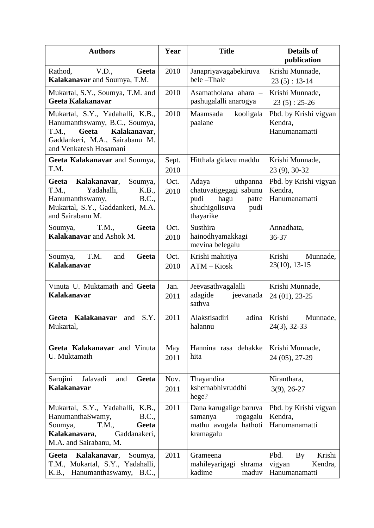| <b>Authors</b>                                                                                                                                                  | Year          | <b>Title</b>                                                                                                | <b>Details of</b><br>publication                           |
|-----------------------------------------------------------------------------------------------------------------------------------------------------------------|---------------|-------------------------------------------------------------------------------------------------------------|------------------------------------------------------------|
| Rathod,<br>V.D.,<br>Geeta<br>Kalakanavar and Soumya, T.M.                                                                                                       | 2010          | Janapriyavagabekiruva<br>bele-Thale                                                                         | Krishi Munnade,<br>$23(5): 13-14$                          |
| Mukartal, S.Y., Soumya, T.M. and<br>Geeta Kalakanavar                                                                                                           | 2010          | Asamatholana ahara -<br>pashugalalli anarogya                                                               | Krishi Munnade,<br>$23(5): 25-26$                          |
| Mukartal, S.Y., Yadahalli, K.B.,<br>Hanumanthswamy, B.C., Soumya,<br>Kalakanavar,<br>Geeta<br>T.M.,<br>Gaddankeri, M.A., Sairabanu M.<br>and Venkatesh Hosamani | 2010          | Maamsada<br>kooligala<br>paalane                                                                            | Pbd. by Krishi vigyan<br>Kendra,<br>Hanumanamatti          |
| Geeta Kalakanavar and Soumya,<br>T.M.                                                                                                                           | Sept.<br>2010 | Hitthala gidavu maddu                                                                                       | Krishi Munnade,<br>23 (9), 30-32                           |
| Kalakanavar,<br>Geeta<br>Soumya,<br>T.M.,<br>Yadahalli,<br>K.B.,<br>Hanumanthswamy,<br><b>B.C.,</b><br>Mukartal, S.Y., Gaddankeri, M.A.<br>and Sairabanu M.     | Oct.<br>2010  | uthpanna<br>Adaya<br>chatuvatigegagi sabunu<br>pudi<br>hagu<br>patre<br>shuchigolisuva<br>pudi<br>thayarike | Pbd. by Krishi vigyan<br>Kendra,<br>Hanumanamatti          |
| T.M.,<br>Geeta<br>Soumya,<br>Kalakanavar and Ashok M.                                                                                                           | Oct.<br>2010  | Susthira<br>hainodhyamakkagi<br>mevina belegalu                                                             | Annadhata,<br>36-37                                        |
| T.M.<br>Geeta<br>Soumya,<br>and<br><b>Kalakanavar</b>                                                                                                           | Oct.<br>2010  | Krishi mahitiya<br>ATM - Kiosk                                                                              | Krishi<br>Munnade,<br>$23(10), 13-15$                      |
| Vinuta U. Muktamath and Geeta<br><b>Kalakanavar</b>                                                                                                             | Jan.<br>2011  | Jeevasathvagalalli<br>adagide<br>jeevanada<br>sathva                                                        | Krishi Munnade,<br>24 (01), 23-25                          |
| Geeta Kalakanavar<br>S.Y.<br>and<br>Mukartal,                                                                                                                   | 2011          | Alakstisadiri<br>adina<br>halannu                                                                           | Krishi<br>Munnade,<br>$24(3), 32-33$                       |
| Geeta Kalakanavar and Vinuta<br>U. Muktamath                                                                                                                    | May<br>2011   | Hannina rasa dehakke<br>hita                                                                                | Krishi Munnade,<br>24 (05), 27-29                          |
| Sarojini<br>Jalavadi<br>Geeta<br>and<br><b>Kalakanavar</b>                                                                                                      | Nov.<br>2011  | Thayandira<br>kshemabhivruddhi<br>hege?                                                                     | Niranthara,<br>$3(9)$ , 26-27                              |
| Mukartal, S.Y., Yadahalli, K.B.,<br>HanumanthaSwamy,<br>B.C.,<br>Soumya,<br>T.M.,<br>Geeta<br>Kalakanavara,<br>Gaddanakeri,<br>M.A. and Sairabanu, M.           | 2011          | Dana karugalige baruva<br>rogagalu<br>samanya<br>mathu avugala hathoti<br>kramagalu                         | Pbd. by Krishi vigyan<br>Kendra,<br>Hanumanamatti          |
| Geeta<br>Kalakanavar,<br>Soumya,<br>T.M., Mukartal, S.Y., Yadahalli,<br>K.B., Hanumanthaswamy, B.C.,                                                            | 2011          | Grameena<br>mahileyarigagi<br>shrama<br>kadime<br>maduv                                                     | Pbd.<br>By<br>Krishi<br>Kendra,<br>vigyan<br>Hanumanamatti |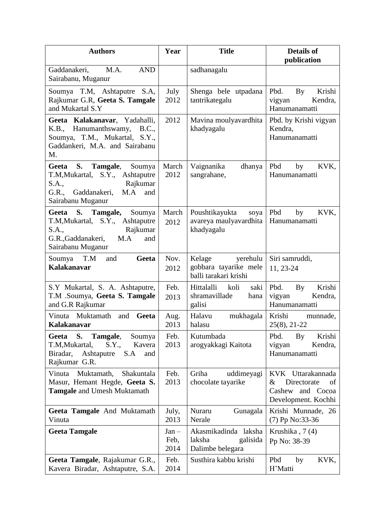| <b>Authors</b>                                                                                                                                            | Year                    | <b>Title</b>                                                         | <b>Details of</b><br>publication                                                          |
|-----------------------------------------------------------------------------------------------------------------------------------------------------------|-------------------------|----------------------------------------------------------------------|-------------------------------------------------------------------------------------------|
| Gaddanakeri,<br>M.A.<br><b>AND</b><br>Sairabanu, Muganur                                                                                                  |                         | sadhanagalu                                                          |                                                                                           |
| Soumya T.M, Ashtaputre S.A,<br>Rajkumar G.R, Geeta S. Tamgale<br>and Mukartal S.Y                                                                         | July<br>2012            | Shenga bele utpadana<br>tantrikategalu                               | Pbd.<br>Krishi<br>By<br>Kendra,<br>vigyan<br>Hanumanamatti                                |
| Geeta Kalakanavar, Yadahalli,<br>K.B., Hanumanthswamy,<br>B.C.,<br>Soumya, T.M., Mukartal, S.Y.,<br>Gaddankeri, M.A. and Sairabanu<br>M.                  | 2012                    | Mavina moulyavardhita<br>khadyagalu                                  | Pbd. by Krishi vigyan<br>Kendra.<br>Hanumanamatti                                         |
| Geeta<br>S.<br>Tamgale,<br>Soumya<br>T.M, Mukartal, S.Y., Ashtaputre<br>S.A.,<br>Rajkumar<br>M.A<br>Gaddanakeri,<br>and<br>G.R.,<br>Sairabanu Muganur     | March<br>2012           | Vaignanika<br>dhanya<br>sangrahane,                                  | Pbd<br>by<br>KVK,<br>Hanumanamatti                                                        |
| <b>S.</b><br>Geeta<br>Tamgale,<br>Soumya<br>T.M, Mukartal, S.Y., Ashtaputre<br>S.A.,<br>Rajkumar<br>G.R., Gaddanakeri,<br>M.A<br>and<br>Sairabanu Muganur | March<br>2012           | Poushtikayukta<br>soya<br>avareya maulyavardhita<br>khadyagalu       | Pbd<br>KVK,<br>by<br>Hanumanamatti                                                        |
| T.M<br>Geeta<br>Soumya<br>and<br><b>Kalakanavar</b>                                                                                                       | Nov.<br>2012            | Kelage<br>yerehulu<br>gobbara tayarike mele<br>balli tarakari krishi | Siri samruddi,<br>11, 23-24                                                               |
| S.Y Mukartal, S. A. Ashtaputre,<br>T.M .Soumya, Geeta S. Tamgale<br>and G.R Rajkumar                                                                      | Feb.<br>2013            | Hittalalli<br>koli<br>saki<br>shramavillade<br>hana<br>galisi        | Pbd.<br>Krishi<br>By<br>Kendra,<br>vigyan<br>Hanumanamatti                                |
| Vinuta Muktamath<br>Geeta<br>and<br>Kalakanavar                                                                                                           | Aug.<br>2013            | Halavu<br>mukhagala<br>halasu                                        | Krishi<br>munnade,<br>$25(8), 21-22$                                                      |
| S.<br>Tamgale, Soumya<br>Geeta<br>S.Y., Kavera<br>T.M, Mukartal,<br>Biradar, Ashtaputre<br>S.A<br>and<br>Rajkumar G.R.                                    | Feb.<br>2013            | Kutumbada<br>arogyakkagi Kaitota                                     | By<br>Krishi<br>Pbd.<br>Kendra,<br>vigyan<br>Hanumanamatti                                |
| Vinuta Muktamath,<br>Shakuntala<br>Masur, Hemant Hegde, Geeta S.<br><b>Tamgale</b> and Umesh Muktamath                                                    | Feb.<br>2013            | Griha<br>uddimeyagi<br>chocolate tayarike                            | KVK Uttarakannada<br>$\&$<br>Directorate<br>of<br>Cashew and Cocoa<br>Development. Kochhi |
| <b>Geeta Tamgale</b> And Muktamath<br>Vinuta                                                                                                              | July,<br>2013           | Nuraru<br>Gunagala<br>Nerale                                         | Krishi Munnade, 26<br>(7) Pp No:33-36                                                     |
| <b>Geeta Tamgale</b>                                                                                                                                      | $Jan -$<br>Feb,<br>2014 | Akasmikadinda laksha<br>laksha<br>galisida<br>Dalimbe belegara       | Krushika, 7(4)<br>Pp No: 38-39                                                            |
| Geeta Tamgale, Rajakumar G.R.,<br>Kavera Biradar, Ashtaputre, S.A.                                                                                        | Feb.<br>2014            | Susthira kabbu krishi                                                | Pbd<br>KVK,<br>by<br>H'Matti                                                              |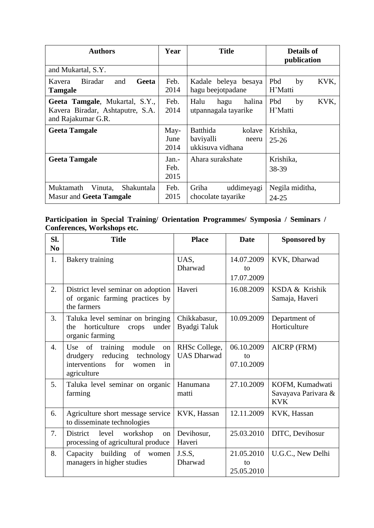| <b>Authors</b>                                                                           | Year                  | <b>Title</b>                                                 | <b>Details of</b><br>publication |  |
|------------------------------------------------------------------------------------------|-----------------------|--------------------------------------------------------------|----------------------------------|--|
| and Mukartal, S.Y.                                                                       |                       |                                                              |                                  |  |
| <b>Biradar</b><br>Kavera<br>Geeta<br>and<br><b>Tamgale</b>                               | Feb.<br>2014          | Kadale beleya besaya<br>hagu beejotpadane                    | Pbd<br>KVK,<br>by<br>H'Matti     |  |
| Geeta Tamgale, Mukartal, S.Y.,<br>Kavera Biradar, Ashtaputre, S.A.<br>and Rajakumar G.R. | Feb.<br>2014          | Halu<br>halina<br>hagu<br>utpannagala tayarike               | Pbd<br>by<br>KVK,<br>H'Matti     |  |
| <b>Geeta Tamgale</b>                                                                     | May-<br>June<br>2014  | Batthida<br>kolave<br>baviyalli<br>neeru<br>ukkisuva vidhana | Krishika,<br>$25 - 26$           |  |
| <b>Geeta Tamgale</b>                                                                     | Jan.-<br>Feb.<br>2015 | Ahara surakshate                                             | Krishika,<br>38-39               |  |
| Shakuntala<br>Muktamath<br>Vinuta,<br><b>Masur and Geeta Tamgale</b>                     | Feb.<br>2015          | Griha<br>uddimeyagi<br>chocolate tayarike                    | Negila miditha,<br>24-25         |  |

## **Participation in Special Training/ Orientation Programmes/ Symposia / Seminars / Conferences, Workshops etc.**

| SI.<br>N <sub>0</sub> | <b>Title</b>                                                                                                                   | <b>Place</b>                        | <b>Date</b>                    | <b>Sponsored by</b>                                  |
|-----------------------|--------------------------------------------------------------------------------------------------------------------------------|-------------------------------------|--------------------------------|------------------------------------------------------|
| 1.                    | <b>Bakery training</b>                                                                                                         | UAS,<br><b>Dharwad</b>              | 14.07.2009<br>to<br>17.07.2009 | KVK, Dharwad                                         |
| 2.                    | District level seminar on adoption<br>of organic farming practices by<br>the farmers                                           | Haveri                              | 16.08.2009                     | KSDA & Krishik<br>Samaja, Haveri                     |
| 3.                    | Taluka level seminar on bringing<br>horticulture<br>under<br>the<br>crops<br>organic farming                                   | Chikkabasur,<br>Byadgi Taluk        | 10.09.2009                     | Department of<br>Horticulture                        |
| $\overline{4}$ .      | of<br>training<br>Use<br>module<br>on<br>reducing technology<br>drudgery<br>interventions<br>for<br>women<br>in<br>agriculture | RHSc College,<br><b>UAS Dharwad</b> | 06.10.2009<br>to<br>07.10.2009 | AICRP (FRM)                                          |
| 5.                    | Taluka level seminar on organic<br>farming                                                                                     | Hanumana<br>matti                   | 27.10.2009                     | KOFM, Kumadwati<br>Savayava Parivara &<br><b>KVK</b> |
| 6.                    | Agriculture short message service<br>to disseminate technologies                                                               | KVK, Hassan                         | 12.11.2009                     | KVK, Hassan                                          |
| 7.                    | District<br>level<br>workshop<br>on<br>processing of agricultural produce                                                      | Devihosur,<br>Haveri                | 25.03.2010                     | DITC, Devihosur                                      |
| 8.                    | Capacity building of women<br>managers in higher studies                                                                       | J.S.S.<br>Dharwad                   | 21.05.2010<br>to<br>25.05.2010 | U.G.C., New Delhi                                    |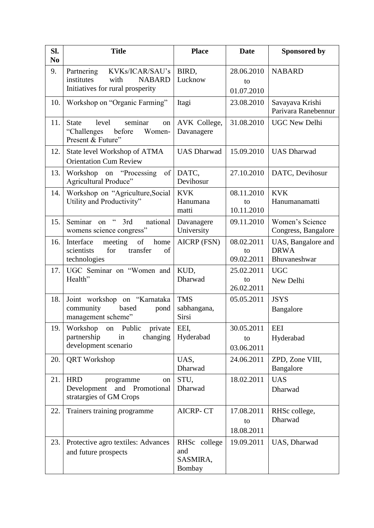| Sl.<br>N <sub>0</sub> | <b>Title</b>                                                                                             | <b>Place</b>                              | <b>Date</b>                    | <b>Sponsored by</b>                               |
|-----------------------|----------------------------------------------------------------------------------------------------------|-------------------------------------------|--------------------------------|---------------------------------------------------|
| 9.                    | KVKs/ICAR/SAU's<br>Partnering<br>institutes<br><b>NABARD</b><br>with<br>Initiatives for rural prosperity | BIRD,<br>Lucknow                          | 28.06.2010<br>to<br>01.07.2010 | <b>NABARD</b>                                     |
| 10.                   | Workshop on "Organic Farming"                                                                            | Itagi                                     | 23.08.2010                     | Savayava Krishi<br>Parivara Ranebennur            |
| 11.                   | seminar<br>level<br><b>State</b><br>on<br>"Challenges<br>before<br>Women-<br>Present & Future"           | AVK College,<br>Davanagere                | 31.08.2010                     | <b>UGC New Delhi</b>                              |
| 12.                   | State level Workshop of ATMA<br><b>Orientation Cum Review</b>                                            | <b>UAS Dharwad</b>                        | 15.09.2010                     | <b>UAS Dharwad</b>                                |
| 13.                   | of<br>Workshop on "Processing"<br>Agricultural Produce"                                                  | DATC,<br>Devihosur                        | 27.10.2010                     | DATC, Devihosur                                   |
| 14.                   | Workshop on "Agriculture, Social<br>Utility and Productivity"                                            | <b>KVK</b><br>Hanumana<br>matti           | 08.11.2010<br>to<br>10.11.2010 | <b>KVK</b><br>Hanumanamatti                       |
| 15.                   | $\mathfrak{c}\mathfrak{c}$<br>Seminar on<br>3rd<br>national<br>womens science congress"                  | Davanagere<br>University                  | 09.11.2010                     | Women's Science<br>Congress, Bangalore            |
| 16.                   | of<br>home<br>Interface<br>meeting<br>scientists<br>for<br>transfer<br>of<br>technologies                | <b>AICRP (FSN)</b>                        | 08.02.2011<br>to<br>09.02.2011 | UAS, Bangalore and<br><b>DRWA</b><br>Bhuvaneshwar |
| 17.                   | UGC Seminar on "Women and<br>Health"                                                                     | KUD,<br>Dharwad                           | 25.02.2011<br>to<br>26.02.2011 | <b>UGC</b><br>New Delhi                           |
| 18.                   | Joint workshop on "Karnataka<br>community<br>based<br>pond<br>management scheme"                         | <b>TMS</b><br>sabhangana,<br><b>Sirsi</b> | 05.05.2011                     | <b>JSYS</b><br>Bangalore                          |
| 19.1                  | Workshop<br>on<br>Public<br>private<br>partnership<br>in<br>changing<br>development scenario             | EEI,<br>Hyderabad                         | 30.05.2011<br>to<br>03.06.2011 | <b>EEI</b><br>Hyderabad                           |
| 20.                   | <b>QRT</b> Workshop                                                                                      | UAS,<br>Dharwad                           | 24.06.2011                     | ZPD, Zone VIII,<br>Bangalore                      |
| 21.                   | <b>HRD</b><br>programme<br>on<br>Development<br>and<br>Promotional<br>stratargies of GM Crops            | STU,<br>Dharwad                           | 18.02.2011                     | <b>UAS</b><br>Dharwad                             |
| 22.                   | Trainers training programme                                                                              | <b>AICRP-CT</b>                           | 17.08.2011<br>to<br>18.08.2011 | RHSc college,<br>Dharwad                          |
| 23.                   | Protective agro textiles: Advances<br>and future prospects                                               | RHSc college<br>and<br>SASMIRA,<br>Bombay | 19.09.2011                     | UAS, Dharwad                                      |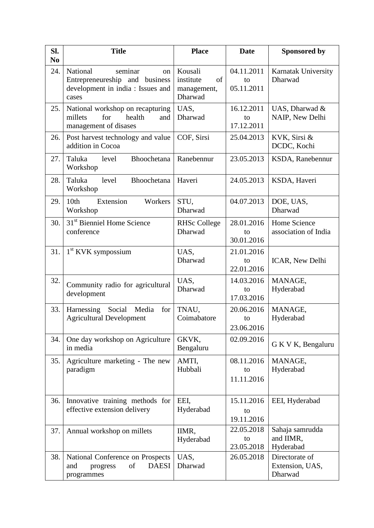| Sl.<br>N <sub>0</sub> | <b>Title</b>                                                                                                         | <b>Place</b>                                         | <b>Date</b>                    | <b>Sponsored by</b>                          |
|-----------------------|----------------------------------------------------------------------------------------------------------------------|------------------------------------------------------|--------------------------------|----------------------------------------------|
| 24.                   | seminar<br>National<br><sub>on</sub><br>Entrepreneureship and business<br>development in india : Issues and<br>cases | Kousali<br>institute<br>of<br>management,<br>Dharwad | 04.11.2011<br>to<br>05.11.2011 | Karnatak University<br>Dharwad               |
| 25.                   | National workshop on recapturing<br>health<br>millets<br>for<br>and<br>management of disases                         | UAS,<br>Dharwad                                      | 16.12.2011<br>to<br>17.12.2011 | UAS, Dharwad &<br>NAIP, New Delhi            |
| 26.                   | Post harvest technology and value<br>addition in Cocoa                                                               | COF, Sirsi                                           | 25.04.2013                     | KVK, Sirsi &<br>DCDC, Kochi                  |
| 27.                   | Taluka<br>level<br>Bhoochetana<br>Workshop                                                                           | Ranebennur                                           | 23.05.2013                     | KSDA, Ranebennur                             |
| 28.                   | Taluka<br>level<br>Bhoochetana<br>Workshop                                                                           | Haveri                                               | 24.05.2013                     | KSDA, Haveri                                 |
| 29.                   | Extension<br>10th<br>Workers<br>Workshop                                                                             | STU,<br>Dharwad                                      | 04.07.2013                     | DOE, UAS,<br>Dharwad                         |
| 30.                   | 31 <sup>st</sup> Bienniel Home Science<br>conference                                                                 | <b>RHSc College</b><br>Dharwad                       | 28.01.2016<br>to<br>30.01.2016 | Home Science<br>association of India         |
| 31.                   | $1st$ KVK sympossium                                                                                                 | UAS,<br>Dharwad                                      | 21.01.2016<br>to<br>22.01.2016 | ICAR, New Delhi                              |
| 32.                   | Community radio for agricultural<br>development                                                                      | UAS,<br>Dharwad                                      | 14.03.2016<br>to<br>17.03.2016 | MANAGE,<br>Hyderabad                         |
| 33.                   | Harnessing<br>Social<br>Media<br>for<br><b>Agricultural Development</b>                                              | TNAU,<br>Coimabatore                                 | 20.06.2016<br>to<br>23.06.2016 | MANAGE,<br>Hyderabad                         |
| 34.                   | One day workshop on Agriculture<br>in media                                                                          | GKVK,<br>Bengaluru                                   | 02.09.2016                     | G K V K, Bengaluru                           |
| 35.                   | Agriculture marketing - The new<br>paradigm                                                                          | AMTI,<br>Hubbali                                     | 08.11.2016<br>to<br>11.11.2016 | MANAGE,<br>Hyderabad                         |
| 36.                   | Innovative training methods for<br>effective extension delivery                                                      | EEI,<br>Hyderabad                                    | 15.11.2016<br>to<br>19.11.2016 | EEI, Hyderabad                               |
| 37.                   | Annual workshop on millets                                                                                           | IIMR,<br>Hyderabad                                   | 22.05.2018<br>to<br>23.05.2018 | Sahaja samrudda<br>and IIMR,<br>Hyderabad    |
| 38.                   | National Conference on Prospects<br><b>DAESI</b><br>and<br>of<br>progress<br>programmes                              | UAS,<br>Dharwad                                      | 26.05.2018                     | Directorate of<br>Extension, UAS,<br>Dharwad |